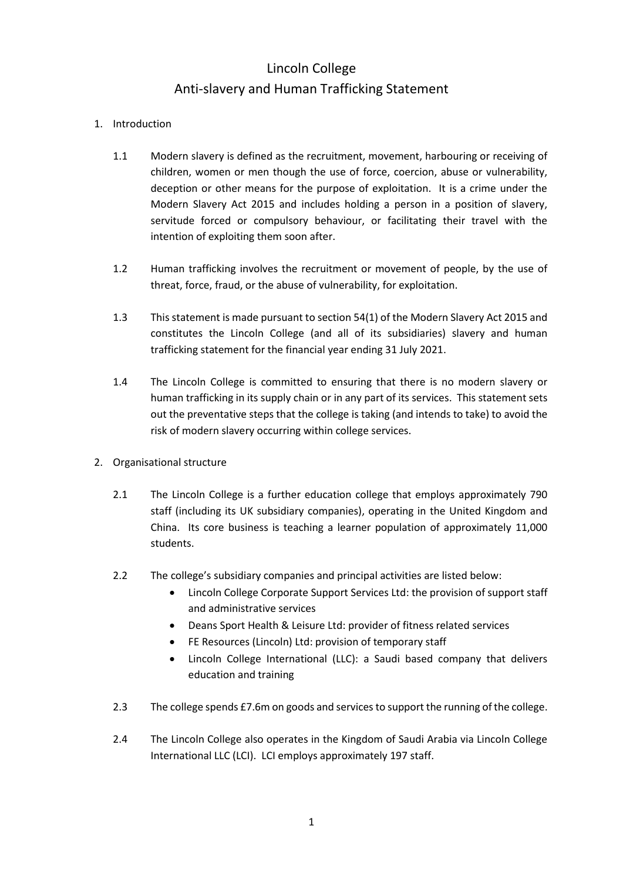## Lincoln College Anti-slavery and Human Trafficking Statement

## 1. Introduction

- 1.1 Modern slavery is defined as the recruitment, movement, harbouring or receiving of children, women or men though the use of force, coercion, abuse or vulnerability, deception or other means for the purpose of exploitation. It is a crime under the Modern Slavery Act 2015 and includes holding a person in a position of slavery, servitude forced or compulsory behaviour, or facilitating their travel with the intention of exploiting them soon after.
- 1.2 Human trafficking involves the recruitment or movement of people, by the use of threat, force, fraud, or the abuse of vulnerability, for exploitation.
- 1.3 This statement is made pursuant to section 54(1) of the Modern Slavery Act 2015 and constitutes the Lincoln College (and all of its subsidiaries) slavery and human trafficking statement for the financial year ending 31 July 2021.
- 1.4 The Lincoln College is committed to ensuring that there is no modern slavery or human trafficking in its supply chain or in any part of its services. This statement sets out the preventative steps that the college is taking (and intends to take) to avoid the risk of modern slavery occurring within college services.
- 2. Organisational structure
	- 2.1 The Lincoln College is a further education college that employs approximately 790 staff (including its UK subsidiary companies), operating in the United Kingdom and China. Its core business is teaching a learner population of approximately 11,000 students.
	- 2.2 The college's subsidiary companies and principal activities are listed below:
		- Lincoln College Corporate Support Services Ltd: the provision of support staff and administrative services
		- Deans Sport Health & Leisure Ltd: provider of fitness related services
		- FE Resources (Lincoln) Ltd: provision of temporary staff
		- Lincoln College International (LLC): a Saudi based company that delivers education and training
	- 2.3 The college spends £7.6m on goods and services to support the running of the college.
	- 2.4 The Lincoln College also operates in the Kingdom of Saudi Arabia via Lincoln College International LLC (LCI). LCI employs approximately 197 staff.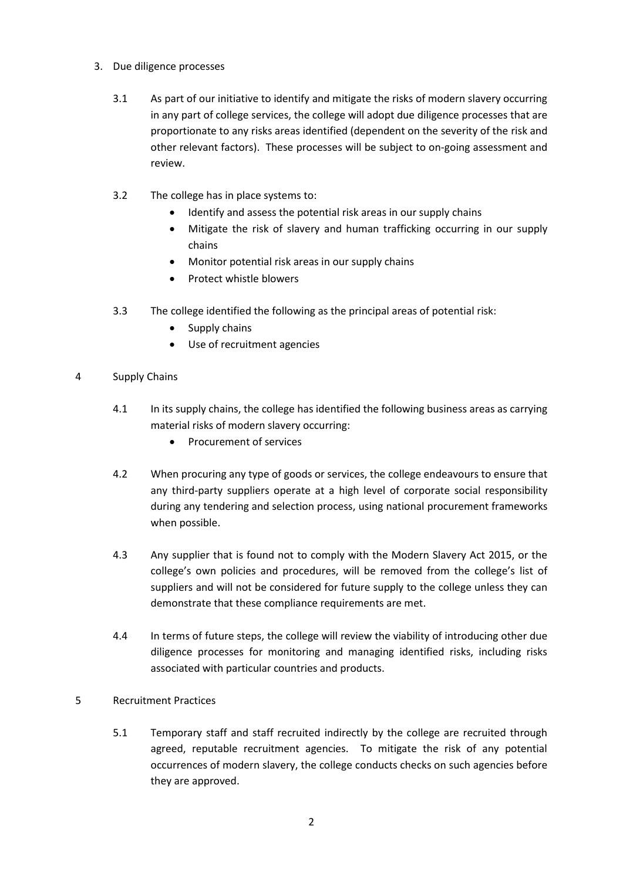- 3. Due diligence processes
	- 3.1 As part of our initiative to identify and mitigate the risks of modern slavery occurring in any part of college services, the college will adopt due diligence processes that are proportionate to any risks areas identified (dependent on the severity of the risk and other relevant factors). These processes will be subject to on-going assessment and review.
	- 3.2 The college has in place systems to:
		- Identify and assess the potential risk areas in our supply chains
		- Mitigate the risk of slavery and human trafficking occurring in our supply chains
		- Monitor potential risk areas in our supply chains
		- Protect whistle blowers
	- 3.3 The college identified the following as the principal areas of potential risk:
		- Supply chains
		- Use of recruitment agencies
- 4 Supply Chains
	- 4.1 In its supply chains, the college has identified the following business areas as carrying material risks of modern slavery occurring:
		- Procurement of services
	- 4.2 When procuring any type of goods or services, the college endeavours to ensure that any third-party suppliers operate at a high level of corporate social responsibility during any tendering and selection process, using national procurement frameworks when possible.
	- 4.3 Any supplier that is found not to comply with the Modern Slavery Act 2015, or the college's own policies and procedures, will be removed from the college's list of suppliers and will not be considered for future supply to the college unless they can demonstrate that these compliance requirements are met.
	- 4.4 In terms of future steps, the college will review the viability of introducing other due diligence processes for monitoring and managing identified risks, including risks associated with particular countries and products.
- 5 Recruitment Practices
	- 5.1 Temporary staff and staff recruited indirectly by the college are recruited through agreed, reputable recruitment agencies. To mitigate the risk of any potential occurrences of modern slavery, the college conducts checks on such agencies before they are approved.